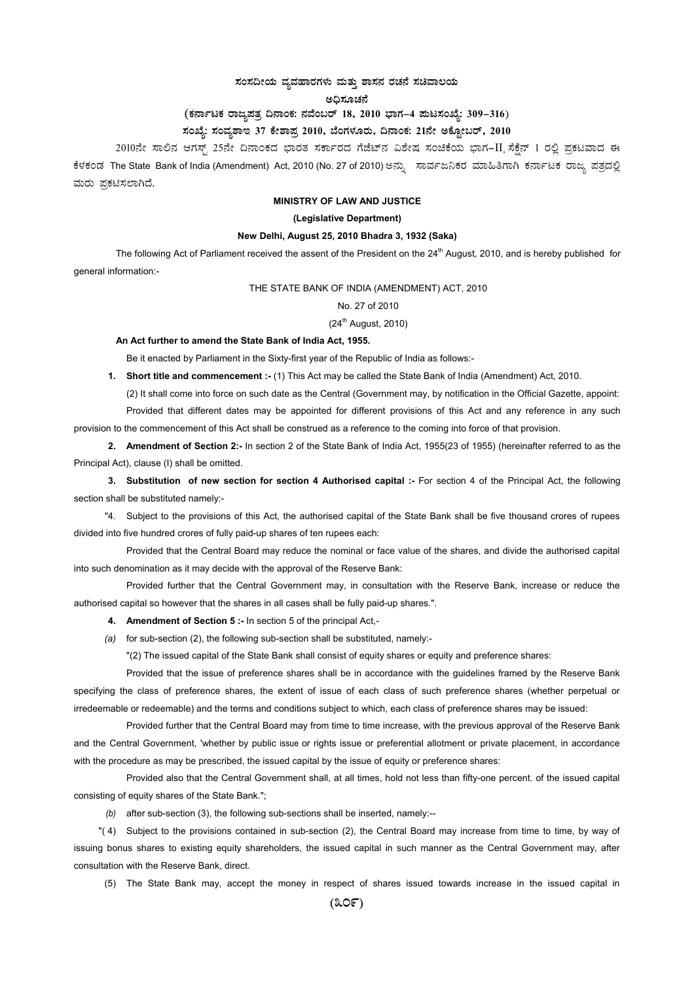# $\vec{a}$ ಸಂಸದೀಯ ವ್ಯವಹಾರಗಳು ಮತ್ತು ಶಾಸನ ರಚನೆ ಸಚಿವಾಲಯ

ಅಧಿಸೂಚನೆ

# (ಕರ್ನಾಟಕ ರಾಜ್ಯಪತ್ರ ದಿನಾಂಕ: ನವೆಂಬರ್ 18, 2010 ಭಾಗ–4 **ಮಟಸಂಖ್ಯೆ: 309–316**)

## **¸ÀASÉå: ¸ÀAªÀå±ÁE 37 PÉñÁ¥Àæ 2010, ¨ÉAUÀ¼ÀÆgÀÄ, ¢£ÁAPÀ: 21£Éà CPÉÆÖçgï, 2010**

2010ನೇ ಸಾಲಿನ ಆಗಸ್ಟ್ 25ನೇ ದಿನಾಂಕದ ಭಾರತ ಸರ್ಕಾರದ ಗೆಜೆಟ್ನ ವಿಶೇಷ ಸಂಚಿಕೆಯ ಭಾಗ–II ಸೆಕ್ಷೆನ್ 1 ರಲ್ಲಿ ಪ್ರಕಟವಾದ ಈ ಕೆಳಕಂಡ The State Bank of India (Amendment) Act, 2010 (No. 27 of 2010) ಅನ್ನು ಸಾರ್ವಜನಿಕರ ಮಾಹಿತಿಗಾಗಿ ಕರ್ನಾಟಕ ರಾಜ್ಯ ಪತ್ರದಲ್ಲಿ ಮರು ಪ್ರಕಟಿಸಲಾಗಿದೆ.

### **MINISTRY OF LAW AND JUSTICE**

#### **(Legislative Department)**

### **New Delhi, August 25, 2010 Bhadra 3, 1932 (Saka)**

The following Act of Parliament received the assent of the President on the 24<sup>th</sup> August, 2010, and is hereby published for general information:-

THE STATE BANK OF INDIA (AMENDMENT) ACT, 2010

# No. 27 of 2010

# $(24<sup>th</sup>$  August, 2010)

#### **An Act further to amend the State Bank of India Act, 1955.**

Be it enacted by Parliament in the Sixty-first year of the Republic of India as follows:-

**1. Short title and commencement :-** (1) This Act may be called the State Bank of India (Amendment) Act, 2010.

(2) It shall come into force on such date as the Central (Government may, by notification in the Official Gazette, appoint: Provided that different dates may be appointed for different provisions of this Act and any reference in any such provision to the commencement of this Act shall be construed as a reference to the coming into force of that provision.

**2. Amendment of Section 2:-** In section 2 of the State Bank of India Act, 1955(23 of 1955) (hereinafter referred to as the

Principal Act), clause (I) shall be omitted.

**3. Substitution of new section for section 4 Authorised capital :-** For section 4 of the Principal Act, the following section shall be substituted namely:-

"4. Subject to the provisions of this Act, the authorised capital of the State Bank shall be five thousand crores of rupees divided into five hundred crores of fully paid-up shares of ten rupees each:

Provided that the Central Board may reduce the nominal or face value of the shares, and divide the authorised capital into such denomination as it may decide with the approval of the Reserve Bank:

Provided further that the Central Government may, in consultation with the Reserve Bank, increase or reduce the authorised capital so however that the shares in all cases shall be fully paid-up shares.".

**4. Amendment of Section 5 :-** In section 5 of the principal Act,-

 *(a)* for sub-section (2), the following sub-section shall be substituted, namely:-

"(2) The issued capital of the State Bank shall consist of equity shares or equity and preference shares:

Provided that the issue of preference shares shall be in accordance with the guidelines framed by the Reserve Bank specifying the class of preference shares, the extent of issue of each class of such preference shares (whether perpetual or irredeemable or redeemable) and the terms and conditions subject to which, each class of preference shares may be issued:

Provided further that the Central Board may from time to time increase, with the previous approval of the Reserve Bank and the Central Government, 'whether by public issue or rights issue or preferential allotment or private placement, in accordance with the procedure as may be prescribed, the issued capital by the issue of equity or preference shares:

Provided also that the Central Government shall, at all times, hold not less than fifty-one percent. of the issued capital consisting of equity shares of the State Bank.";

 *(b)* after sub-section (3), the following sub-sections shall be inserted, namely:--

"( 4) Subject to the provisions contained in sub-section (2), the Central Board may increase from time to time, by way of issuing bonus shares to existing equity shareholders, the issued capital in such manner as the Central Government may, after consultation with the Reserve Bank, direct.

(5) The State Bank may, accept the money in respect of shares issued towards increase in the issued capital in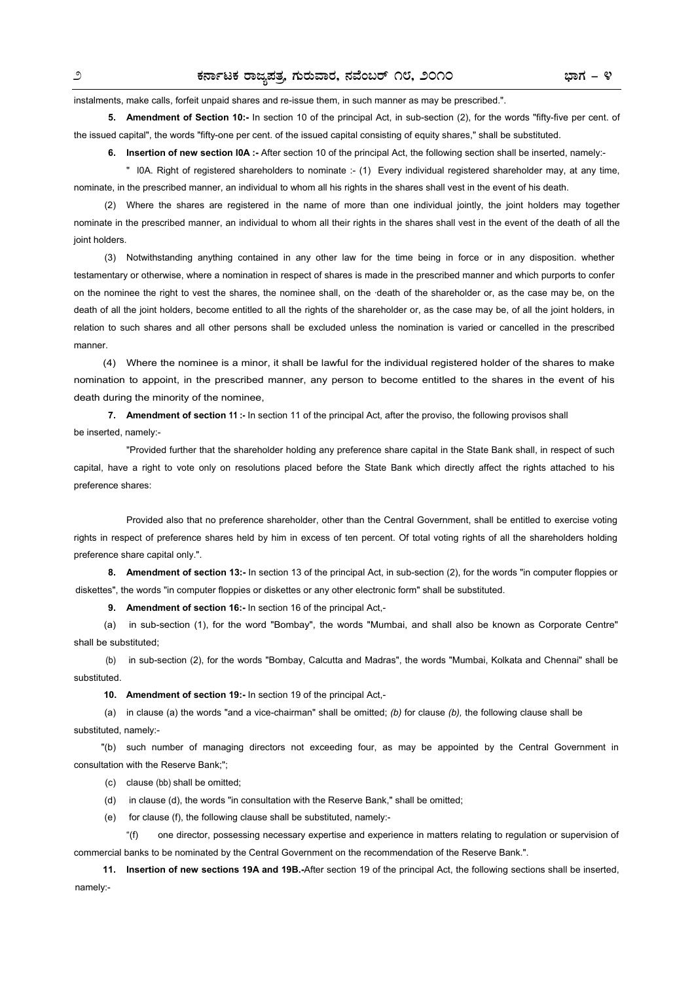instalments, make calls, forfeit unpaid shares and re-issue them, in such manner as may be prescribed.".

**5. Amendment of Section 10:-** In section 10 of the principal Act, in sub-section (2), for the words "fifty-five per cent. of the issued capital", the words "fifty-one per cent. of the issued capital consisting of equity shares," shall be substituted.

**6. Insertion of new section IOA :-** After section 10 of the principal Act, the following section shall be inserted, namely:-

 " l0A. Right of registered shareholders to nominate :- (1) Every individual registered shareholder may, at any time, nominate, in the prescribed manner, an individual to whom all his rights in the shares shall vest in the event of his death.

 (2) Where the shares are registered in the name of more than one individual jointly, the joint holders may together nominate in the prescribed manner, an individual to whom all their rights in the shares shall vest in the event of the death of all the joint holders.

 (3) Notwithstanding anything contained in any other law for the time being in force or in any disposition. whether testamentary or otherwise, where a nomination in respect of shares is made in the prescribed manner and which purports to confer on the nominee the right to vest the shares, the nominee shall, on the ·death of the shareholder or, as the case may be, on the death of all the joint holders, become entitled to all the rights of the shareholder or, as the case may be, of all the joint holders, in relation to such shares and all other persons shall be excluded unless the nomination is varied or cancelled in the prescribed manner.

 (4) Where the nominee is a minor, it shall be lawful for the individual registered holder of the shares to make nomination to appoint, in the prescribed manner, any person to become entitled to the shares in the event of his death during the minority of the nominee,

**7. Amendment of section 11 :-** In section 11 of the principal Act, after the proviso, the following provisos shall be inserted, namely:-

 "Provided further that the shareholder holding any preference share capital in the State Bank shall, in respect of such capital, have a right to vote only on resolutions placed before the State Bank which directly affect the rights attached to his preference shares:

 Provided also that no preference shareholder, other than the Central Government, shall be entitled to exercise voting rights in respect of preference shares held by him in excess of ten percent. Of total voting rights of all the shareholders holding preference share capital only.".

**8. Amendment of section 13:-** In section 13 of the principal Act, in sub-section (2), for the words "in computer floppies or diskettes", the words "in computer floppies or diskettes or any other electronic form" shall be substituted.

**9. Amendment of section 16:-** In section 16 of the principal Act,-

(a) in sub-section (1), for the word "Bombay", the words "Mumbai, and shall also be known as Corporate Centre" shall be substituted;

 (b) in sub-section (2), for the words "Bombay, Calcutta and Madras", the words "Mumbai, Kolkata and Chennai" shall be substituted.

**10. Amendment of section 19:-** In section 19 of the principal Act,-

 (a) in clause (a) the words "and a vice-chairman" shall be omitted; *(b)* for clause *(b),* the following clause shall be substituted, namely:-

"(b) such number of managing directors not exceeding four, as may be appointed by the Central Government in consultation with the Reserve Bank;";

- (c) clause (bb) shall be omitted;
- (d) in clause (d), the words "in consultation with the Reserve Bank," shall be omitted;
- (e) for clause (f), the following clause shall be substituted, namely:-

 "(f) one director, possessing necessary expertise and experience in matters relating to regulation or supervision of commercial banks to be nominated by the Central Government on the recommendation of the Reserve Bank.".

 **11. Insertion of new sections 19A and 19B.-**After section 19 of the principal Act, the following sections shall be inserted, namely:-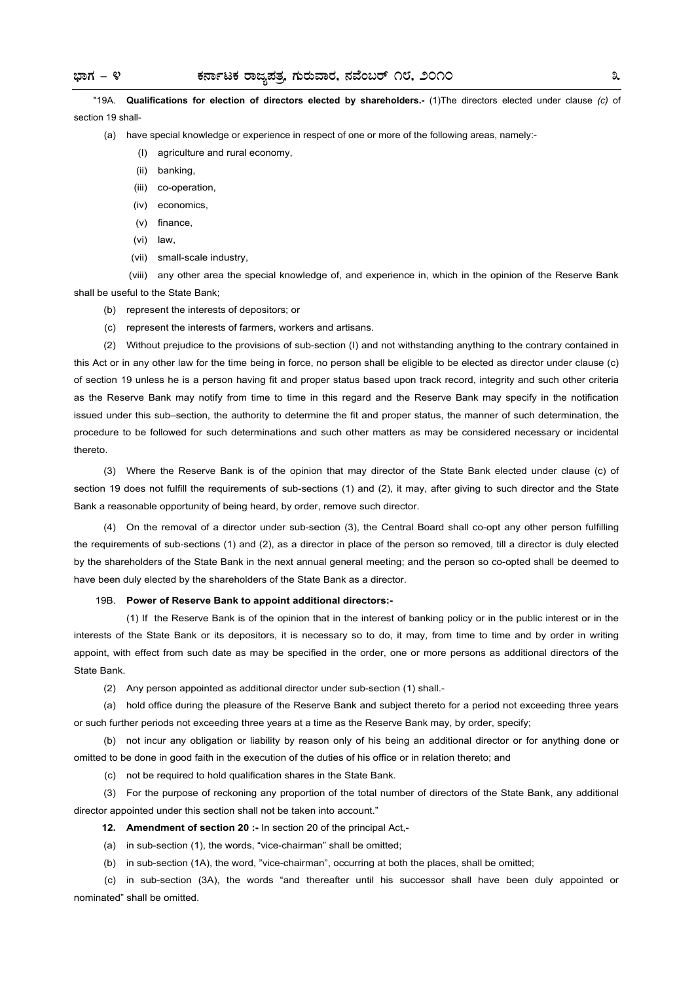"19A. **Qualifications for election of directors elected by shareholders.-** (1)The directors elected under clause *(c)* of section 19 shall-

- (a) have special knowledge or experience in respect of one or more of the following areas, namely:-
	- (I) agriculture and rural economy,
	- (ii) banking,
	- (iii) co-operation,
	- (iv) economics,
	- (v) finance,
	- (vi) law,
	- (vii) small-scale industry,

(viii) any other area the special knowledge of, and experience in, which in the opinion of the Reserve Bank shall be useful to the State Bank;

- (b) represent the interests of depositors; or
- (c) represent the interests of farmers, workers and artisans.

 (2) Without prejudice to the provisions of sub-section (I) and not withstanding anything to the contrary contained in this Act or in any other law for the time being in force, no person shall be eligible to be elected as director under clause (c) of section 19 unless he is a person having fit and proper status based upon track record, integrity and such other criteria as the Reserve Bank may notify from time to time in this regard and the Reserve Bank may specify in the notification issued under this sub–section, the authority to determine the fit and proper status, the manner of such determination, the procedure to be followed for such determinations and such other matters as may be considered necessary or incidental thereto.

 (3) Where the Reserve Bank is of the opinion that may director of the State Bank elected under clause (c) of section 19 does not fulfill the requirements of sub-sections (1) and (2), it may, after giving to such director and the State Bank a reasonable opportunity of being heard, by order, remove such director.

 (4) On the removal of a director under sub-section (3), the Central Board shall co-opt any other person fulfilling the requirements of sub-sections (1) and (2), as a director in place of the person so removed, till a director is duly elected by the shareholders of the State Bank in the next annual general meeting; and the person so co-opted shall be deemed to have been duly elected by the shareholders of the State Bank as a director.

#### 19B. **Power of Reserve Bank to appoint additional directors:-**

 (1) If the Reserve Bank is of the opinion that in the interest of banking policy or in the public interest or in the interests of the State Bank or its depositors, it is necessary so to do, it may, from time to time and by order in writing appoint, with effect from such date as may be specified in the order, one or more persons as additional directors of the State Bank.

(2) Any person appointed as additional director under sub-section (1) shall.-

 (a) hold office during the pleasure of the Reserve Bank and subject thereto for a period not exceeding three years or such further periods not exceeding three years at a time as the Reserve Bank may, by order, specify;

 (b) not incur any obligation or liability by reason only of his being an additional director or for anything done or omitted to be done in good faith in the execution of the duties of his office or in relation thereto; and

(c) not be required to hold qualification shares in the State Bank.

 (3) For the purpose of reckoning any proportion of the total number of directors of the State Bank, any additional director appointed under this section shall not be taken into account."

**12. Amendment of section 20 :-** In section 20 of the principal Act,-

(a) in sub-section (1), the words, "vice-chairman" shall be omitted;

(b) in sub-section (1A), the word, "vice-chairman", occurring at both the places, shall be omitted;

 (c) in sub-section (3A), the words "and thereafter until his successor shall have been duly appointed or nominated" shall be omitted.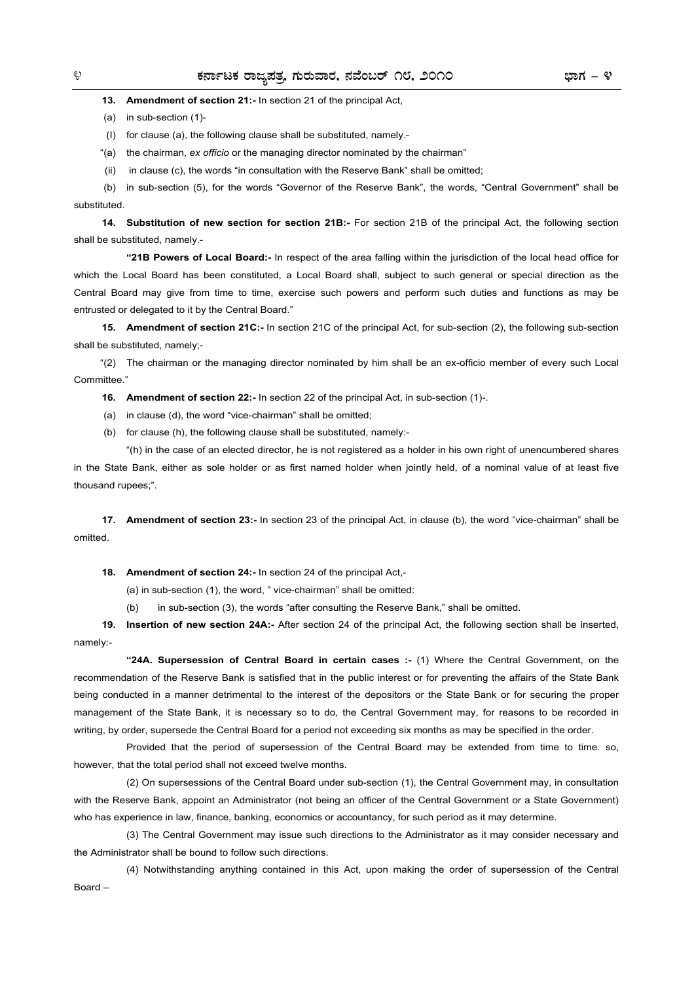**13. Amendment of section 21:-** In section 21 of the principal Act,

(a) in sub-section (1)-

(I) for clause (a), the following clause shall be substituted, namely.-

"(a) the chairman, *ex officio* or the managing director nominated by the chairman"

(ii) in clause (c), the words "in consultation with the Reserve Bank" shall be omitted;

 (b) in sub-section (5), for the words "Governor of the Reserve Bank", the words, "Central Government" shall be substituted.

**14. Substitution of new section for section 21B:-** For section 21B of the principal Act, the following section shall be substituted, namely.-

 **"21B Powers of Local Board:-** In respect of the area falling within the jurisdiction of the local head office for which the Local Board has been constituted, a Local Board shall, subject to such general or special direction as the Central Board may give from time to time, exercise such powers and perform such duties and functions as may be entrusted or delegated to it by the Central Board."

**15. Amendment of section 21C:-** In section 21C of the principal Act, for sub-section (2), the following sub-section shall be substituted, namely;-

 "(2) The chairman or the managing director nominated by him shall be an ex-officio member of every such Local Committee."

**16. Amendment of section 22:-** In section 22 of the principal Act, in sub-section (1)-.

(a) in clause (d), the word "vice-chairman" shall be omitted;

(b) for clause (h), the following clause shall be substituted, namely:-

 "(h) in the case of an elected director, he is not registered as a holder in his own right of unencumbered shares in the State Bank, either as sole holder or as first named holder when jointly held, of a nominal value of at least five thousand rupees;".

**17. Amendment of section 23:-** In section 23 of the principal Act, in clause (b), the word "vice-chairman" shall be omitted.

**18. Amendment of section 24:-** In section 24 of the principal Act,-

(a) in sub-section (1), the word, " vice-chairman" shall be omitted:

(b) in sub-section (3), the words "after consulting the Reserve Bank," shall be omitted.

**19. Insertion of new section 24A:-** After section 24 of the principal Act, the following section shall be inserted, namely:-

 **"24A. Supersession of Central Board in certain cases :-** (1) Where the Central Government, on the recommendation of the Reserve Bank is satisfied that in the public interest or for preventing the affairs of the State Bank being conducted in a manner detrimental to the interest of the depositors or the State Bank or for securing the proper management of the State Bank, it is necessary so to do, the Central Government may, for reasons to be recorded in writing, by order, supersede the Central Board for a period not exceeding six months as may be specified in the order.

 Provided that the period of supersession of the Central Board may be extended from time to time. so, however, that the total period shall not exceed twelve months.

 (2) On supersessions of the Central Board under sub-section (1), the Central Government may, in consultation with the Reserve Bank, appoint an Administrator (not being an officer of the Central Government or a State Government) who has experience in law, finance, banking, economics or accountancy, for such period as it may determine.

 (3) The Central Government may issue such directions to the Administrator as it may consider necessary and the Administrator shall be bound to follow such directions.

 (4) Notwithstanding anything contained in this Act, upon making the order of supersession of the Central Board –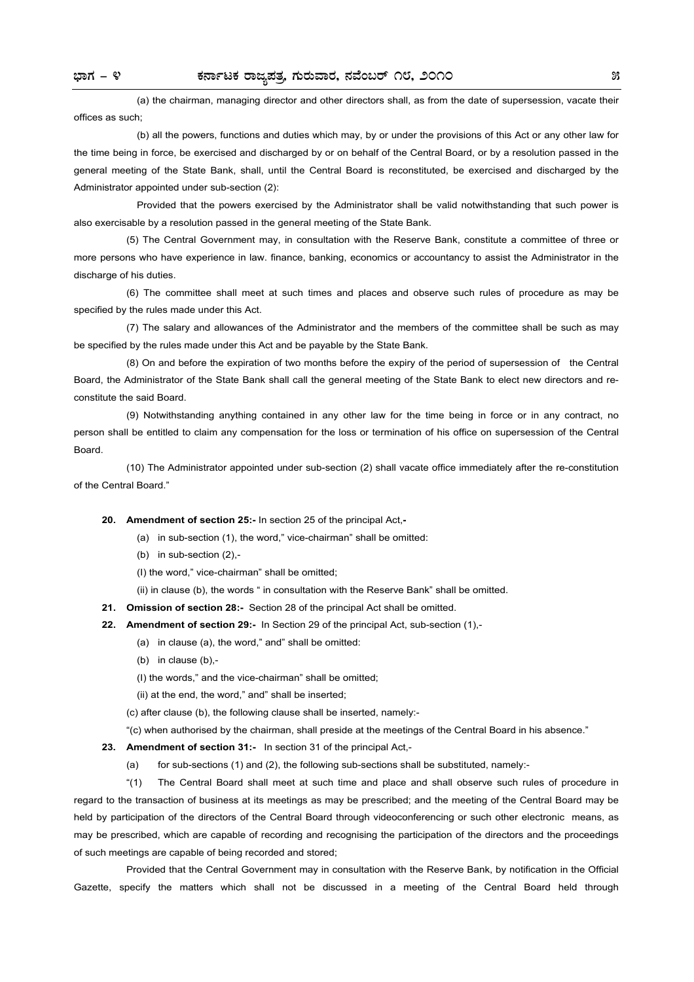(a) the chairman, managing director and other directors shall, as from the date of supersession, vacate their offices as such;

 (b) all the powers, functions and duties which may, by or under the provisions of this Act or any other law for the time being in force, be exercised and discharged by or on behalf of the Central Board, or by a resolution passed in the general meeting of the State Bank, shall, until the Central Board is reconstituted, be exercised and discharged by the Administrator appointed under sub-section (2):

 Provided that the powers exercised by the Administrator shall be valid notwithstanding that such power is also exercisable by a resolution passed in the general meeting of the State Bank.

 (5) The Central Government may, in consultation with the Reserve Bank, constitute a committee of three or more persons who have experience in law. finance, banking, economics or accountancy to assist the Administrator in the discharge of his duties.

 (6) The committee shall meet at such times and places and observe such rules of procedure as may be specified by the rules made under this Act.

 (7) The salary and allowances of the Administrator and the members of the committee shall be such as may be specified by the rules made under this Act and be payable by the State Bank.

 (8) On and before the expiration of two months before the expiry of the period of supersession of the Central Board, the Administrator of the State Bank shall call the general meeting of the State Bank to elect new directors and reconstitute the said Board.

 (9) Notwithstanding anything contained in any other law for the time being in force or in any contract, no person shall be entitled to claim any compensation for the loss or termination of his office on supersession of the Central Board.

 (10) The Administrator appointed under sub-section (2) shall vacate office immediately after the re-constitution of the Central Board."

 **20. Amendment of section 25:-** In section 25 of the principal Act,**-** 

- (a) in sub-section (1), the word," vice-chairman" shall be omitted:
- (b) in sub-section (2),-

(I) the word," vice-chairman" shall be omitted;

(ii) in clause (b), the words " in consultation with the Reserve Bank" shall be omitted.

 **21. Omission of section 28:-** Section 28 of the principal Act shall be omitted.

- **22. Amendment of section 29:-** In Section 29 of the principal Act, sub-section (1),-
	- (a) in clause (a), the word," and" shall be omitted:
	- (b) in clause (b),-
	- (I) the words," and the vice-chairman" shall be omitted;

(ii) at the end, the word," and" shall be inserted;

(c) after clause (b), the following clause shall be inserted, namely:-

"(c) when authorised by the chairman, shall preside at the meetings of the Central Board in his absence."

**23. Amendment of section 31:-** In section 31 of the principal Act,-

(a) for sub-sections (1) and (2), the following sub-sections shall be substituted, namely:-

 "(1) The Central Board shall meet at such time and place and shall observe such rules of procedure in regard to the transaction of business at its meetings as may be prescribed; and the meeting of the Central Board may be held by participation of the directors of the Central Board through videoconferencing or such other electronic means, as may be prescribed, which are capable of recording and recognising the participation of the directors and the proceedings of such meetings are capable of being recorded and stored;

 Provided that the Central Government may in consultation with the Reserve Bank, by notification in the Official Gazette, specify the matters which shall not be discussed in a meeting of the Central Board held through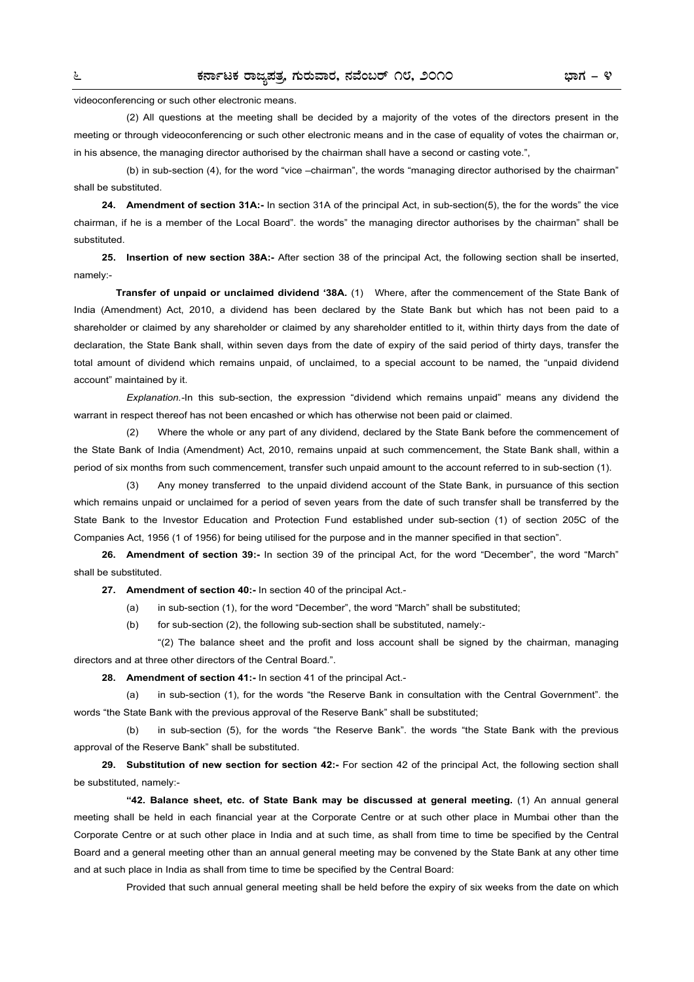videoconferencing or such other electronic means.

 (2) All questions at the meeting shall be decided by a majority of the votes of the directors present in the meeting or through videoconferencing or such other electronic means and in the case of equality of votes the chairman or, in his absence, the managing director authorised by the chairman shall have a second or casting vote.",

 (b) in sub-section (4), for the word "vice –chairman", the words "managing director authorised by the chairman" shall be substituted.

**24. Amendment of section 31A:-** In section 31A of the principal Act, in sub-section(5), the for the words" the vice chairman, if he is a member of the Local Board". the words" the managing director authorises by the chairman" shall be substituted.

 **25. Insertion of new section 38A:-** After section 38 of the principal Act, the following section shall be inserted, namely:-

**Transfer of unpaid or unclaimed dividend '38A.** (1)Where, after the commencement of the State Bank of India (Amendment) Act, 2010, a dividend has been declared by the State Bank but which has not been paid to a shareholder or claimed by any shareholder or claimed by any shareholder entitled to it, within thirty days from the date of declaration, the State Bank shall, within seven days from the date of expiry of the said period of thirty days, transfer the total amount of dividend which remains unpaid, of unclaimed, to a special account to be named, the "unpaid dividend account" maintained by it.

 *Explanation.-*In this sub-section, the expression "dividend which remains unpaid" means any dividend the warrant in respect thereof has not been encashed or which has otherwise not been paid or claimed.

 (2) Where the whole or any part of any dividend, declared by the State Bank before the commencement of the State Bank of India (Amendment) Act, 2010, remains unpaid at such commencement, the State Bank shall, within a period of six months from such commencement, transfer such unpaid amount to the account referred to in sub-section (1).

 (3) Any money transferred to the unpaid dividend account of the State Bank, in pursuance of this section which remains unpaid or unclaimed for a period of seven years from the date of such transfer shall be transferred by the State Bank to the Investor Education and Protection Fund established under sub-section (1) of section 205C of the Companies Act, 1956 (1 of 1956) for being utilised for the purpose and in the manner specified in that section".

**26. Amendment of section 39:-** In section 39 of the principal Act, for the word "December", the word "March" shall be substituted.

**27. Amendment of section 40:-** In section 40 of the principal Act.-

(a) in sub-section (1), for the word "December", the word "March" shall be substituted;

(b) for sub-section (2), the following sub-section shall be substituted, namely:-

 "(2) The balance sheet and the profit and loss account shall be signed by the chairman, managing directors and at three other directors of the Central Board.".

**28. Amendment of section 41:-** In section 41 of the principal Act.-

 (a) in sub-section (1), for the words "the Reserve Bank in consultation with the Central Government". the words "the State Bank with the previous approval of the Reserve Bank" shall be substituted;

 (b) in sub-section (5), for the words "the Reserve Bank". the words "the State Bank with the previous approval of the Reserve Bank" shall be substituted.

**29. Substitution of new section for section 42:-** For section 42 of the principal Act, the following section shall be substituted, namely:-

 **"42. Balance sheet, etc. of State Bank may be discussed at general meeting.** (1) An annual general meeting shall be held in each financial year at the Corporate Centre or at such other place in Mumbai other than the Corporate Centre or at such other place in India and at such time, as shall from time to time be specified by the Central Board and a general meeting other than an annual general meeting may be convened by the State Bank at any other time and at such place in India as shall from time to time be specified by the Central Board:

Provided that such annual general meeting shall be held before the expiry of six weeks from the date on which